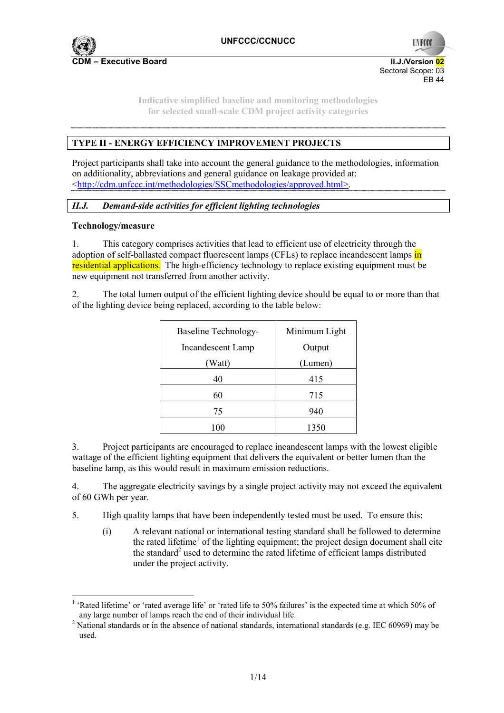

**UNFCC** Sectoral Scope: 03  $FRA4$ 

**Indicative simplified baseline and monitoring methodologies for selected small-scale CDM project activity categories** 

## **TYPE II - ENERGY EFFICIENCY IMPROVEMENT PROJECTS**

Project participants shall take into account the general guidance to the methodologies, information on additionality, abbreviations and general guidance on leakage provided at: <http://cdm.unfccc.int/methodologies/SSCmethodologies/approved.html>.

## *II.J. Demand-side activities for efficient lighting technologies*

### **Technology/measure**

1. This category comprises activities that lead to efficient use of electricity through the adoption of self-ballasted compact fluorescent lamps (CFLs) to replace incandescent lamps in residential applications*.* The high-efficiency technology to replace existing equipment must be new equipment not transferred from another activity.

2. The total lumen output of the efficient lighting device should be equal to or more than that of the lighting device being replaced, according to the table below:

| <b>Baseline Technology-</b> | Minimum Light |
|-----------------------------|---------------|
| Incandescent Lamp           | Output        |
| (Watt)                      | (Lumen)       |
| 40                          | 415           |
| 60                          | 715           |
| 75                          | 940           |
|                             | 1350          |

3. Project participants are encouraged to replace incandescent lamps with the lowest eligible wattage of the efficient lighting equipment that delivers the equivalent or better lumen than the baseline lamp, as this would result in maximum emission reductions.

4. The aggregate electricity savings by a single project activity may not exceed the equivalent of 60 GWh per year.

5. High quality lamps that have been independently tested must be used. To ensure this:

(i) A relevant national or international testing standard shall be followed to determine the rated lifetime<sup>1</sup> of the lighting equipment; the project design document shall cite the standard<sup>2</sup> used to determine the rated lifetime of efficient lamps distributed under the project activity.

<sup>&</sup>lt;sup>1</sup> 'Rated lifetime' or 'rated average life' or 'rated life to 50% failures' is the expected time at which 50% of any large number of lamps reach the end of their individual life. 2

<sup>&</sup>lt;sup>2</sup> National standards or in the absence of national standards, international standards (e.g. IEC 60969) may be used.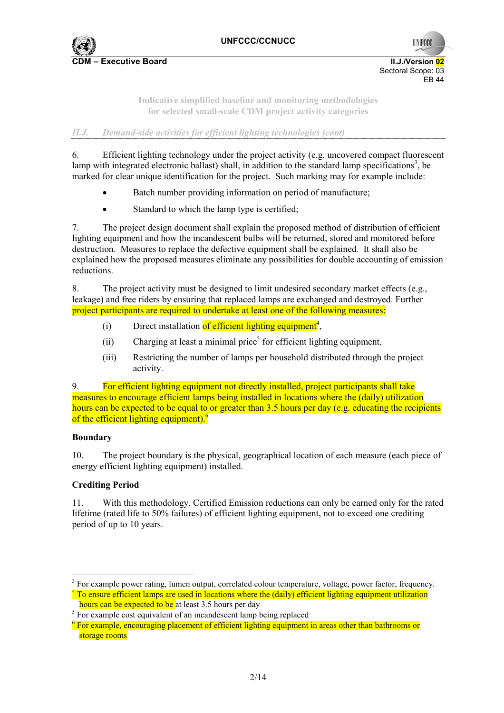

**UNFCCC** Sectoral Scope: 03 .<br>FR 44

**Indicative simplified baseline and monitoring methodologies for selected small-scale CDM project activity categories** 

*II.J. Demand-side activities for efficient lighting technologies (cont)* 

6. Efficient lighting technology under the project activity (e.g. uncovered compact fluorescent lamp with integrated electronic ballast) shall, in addition to the standard lamp specifications<sup>3</sup>, be marked for clear unique identification for the project. Such marking may for example include:

- Batch number providing information on period of manufacture:
- Standard to which the lamp type is certified;

7. The project design document shall explain the proposed method of distribution of efficient lighting equipment and how the incandescent bulbs will be returned, stored and monitored before destruction*.* Measures to replace the defective equipment shall be explained*.* It shall also be explained how the proposed measures eliminate any possibilities for double accounting of emission reductions.

8. The project activity must be designed to limit undesired secondary market effects (e.g., leakage) and free riders by ensuring that replaced lamps are exchanged and destroyed. Further project participants are required to undertake at least one of the following measures:

- (i) Direct installation of efficient lighting equipment<sup>4</sup>,
- $(i)$  Charging at least a minimal price<sup>5</sup> for efficient lighting equipment,
- (iii) Restricting the number of lamps per household distributed through the project activity.

9. For efficient lighting equipment not directly installed, project participants shall take measures to encourage efficient lamps being installed in locations where the (daily) utilization hours can be expected to be equal to or greater than 3.5 hours per day (e.g. educating the recipients of the efficient lighting equipment).<sup>6</sup>

## **Boundary**

10. The project boundary is the physical, geographical location of each measure (each piece of energy efficient lighting equipment) installed.

## **Crediting Period**

11. With this methodology, Certified Emission reductions can only be earned only for the rated lifetime (rated life to 50% failures) of efficient lighting equipment, not to exceed one crediting period of up to 10 years.

hours can be expected to be at least 3.5 hours per day

<sup>&</sup>lt;sup>3</sup> For example power rating, lumen output, correlated colour temperature, voltage, power factor, frequency. <sup>4</sup> To ensure efficient lamps are used in locations where the (daily) efficient lighting equipment utilization

 $5$  For example cost equivalent of an incandescent lamp being replaced

<sup>&</sup>lt;sup>6</sup> For example, encouraging placement of efficient lighting equipment in areas other than bathrooms or storage rooms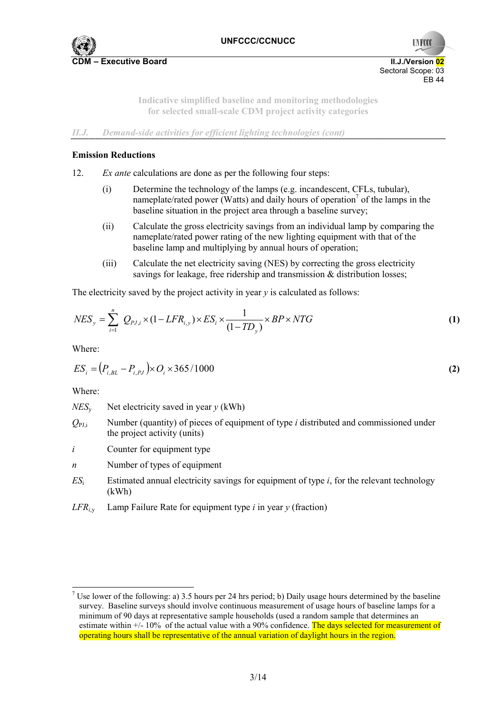

**UNFCC** Sectoral Scope: 03  $FRA4$ 

**Indicative simplified baseline and monitoring methodologies for selected small-scale CDM project activity categories** 

*II.J. Demand-side activities for efficient lighting technologies (cont)* 

### **Emission Reductions**

- 12. *Ex ante* calculations are done as per the following four steps:
	- (i) Determine the technology of the lamps (e.g. incandescent, CFLs, tubular), nameplate/rated power (Watts) and daily hours of operation<sup>7</sup> of the lamps in the baseline situation in the project area through a baseline survey;
	- (ii) Calculate the gross electricity savings from an individual lamp by comparing the nameplate/rated power rating of the new lighting equipment with that of the baseline lamp and multiplying by annual hours of operation;
	- (iii) Calculate the net electricity saving (NES) by correcting the gross electricity savings for leakage, free ridership and transmission  $\&$  distribution losses;

The electricity saved by the project activity in year *y* is calculated as follows:

$$
NES_y = \sum_{i=1}^{n} Q_{PJ,i} \times (1 - LFR_{i,y}) \times ES_i \times \frac{1}{(1 - TD_y)} \times BP \times NTG
$$
 (1)

Where:

$$
ES_i = (P_{i, BL} - P_{i, PJ}) \times O_i \times 365 / 1000
$$
\n(2)

Where:

j.

 $NES<sub>v</sub>$  Net electricity saved in year *y* (kWh)

- $Q_{\text{PLi}}$  Number (quantity) of pieces of equipment of type *i* distributed and commissioned under the project activity (units)
- *i* Counter for equipment type
- *n* Number of types of equipment
- *ES*i Estimated annual electricity savings for equipment of type *i*, for the relevant technology (kWh)
- *LFR<sub>iv</sub>* Lamp Failure Rate for equipment type *i* in year *y* (fraction)

<sup>&</sup>lt;sup>7</sup> Use lower of the following: a) 3.5 hours per 24 hrs period; b) Daily usage hours determined by the baseline survey. Baseline surveys should involve continuous measurement of usage hours of baseline lamps for a minimum of 90 days at representative sample households (used a random sample that determines an estimate within  $+/- 10\%$  of the actual value with a 90% confidence. The days selected for measurement of operating hours shall be representative of the annual variation of daylight hours in the region.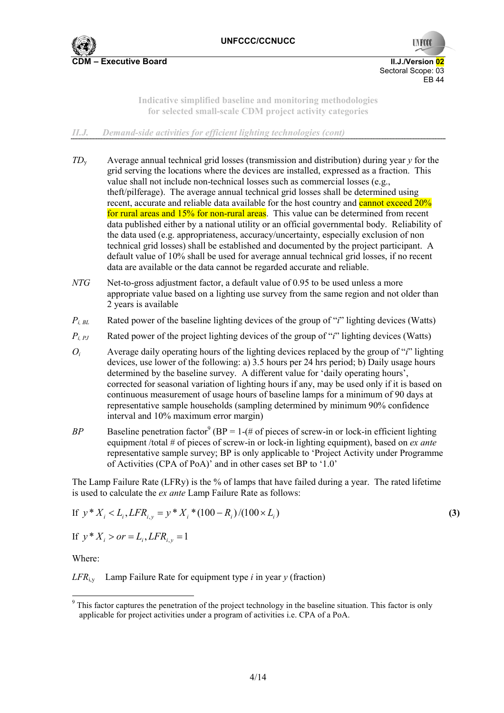

**UNFCCO** Sectoral Scope: 03 EB 44

**Indicative simplified baseline and monitoring methodologies for selected small-scale CDM project activity categories** 

*II.J. Demand-side activities for efficient lighting technologies (cont)* 

- *TD*y Average annual technical grid losses (transmission and distribution) during year *y* for the grid serving the locations where the devices are installed, expressed as a fraction. This value shall not include non-technical losses such as commercial losses (e.g., theft/pilferage). The average annual technical grid losses shall be determined using recent, accurate and reliable data available for the host country and cannot exceed 20% for rural areas and 15% for non-rural areas. This value can be determined from recent data published either by a national utility or an official governmental body. Reliability of the data used (e.g. appropriateness, accuracy/uncertainty, especially exclusion of non technical grid losses) shall be established and documented by the project participant. A default value of 10% shall be used for average annual technical grid losses, if no recent data are available or the data cannot be regarded accurate and reliable.
- *NTG* Net-to-gross adjustment factor, a default value of 0.95 to be used unless a more appropriate value based on a lighting use survey from the same region and not older than 2 years is available
- $P_{i, BL}$  Rated power of the baseline lighting devices of the group of "*i*" lighting devices (Watts)
- $P_{i,PI}$  Rated power of the project lighting devices of the group of "*i*" lighting devices (Watts)
- *Oi* Average daily operating hours of the lighting devices replaced by the group of "*i*" lighting devices, use lower of the following: a) 3.5 hours per 24 hrs period; b) Daily usage hours determined by the baseline survey. A different value for 'daily operating hours', corrected for seasonal variation of lighting hours if any, may be used only if it is based on continuous measurement of usage hours of baseline lamps for a minimum of 90 days at representative sample households (sampling determined by minimum 90% confidence interval and 10% maximum error margin)
- *BP* Baseline penetration factor<sup>9</sup> (BP = 1-(# of pieces of screw-in or lock-in efficient lighting equipment /total # of pieces of screw-in or lock-in lighting equipment), based on *ex ante* representative sample survey; BP is only applicable to 'Project Activity under Programme of Activities (CPA of PoA)' and in other cases set BP to '1.0'

The Lamp Failure Rate (LFRy) is the % of lamps that have failed during a year.The rated lifetime is used to calculate the *ex ante* Lamp Failure Rate as follows:

If 
$$
y * X_i < L_i
$$
, LFR<sub>i,y</sub> =  $y * X_i * (100 - R_i) / (100 \times L_i)$  (3)

If  $y * X_i > or = L_i, LFR_i, y = 1$ 

Where:

ł

 $LFR<sub>iv</sub>$  Lamp Failure Rate for equipment type *i* in year *y* (fraction)

<sup>&</sup>lt;sup>9</sup> This factor captures the penetration of the project technology in the baseline situation. This factor is only applicable for project activities under a program of activities i.e. CPA of a PoA.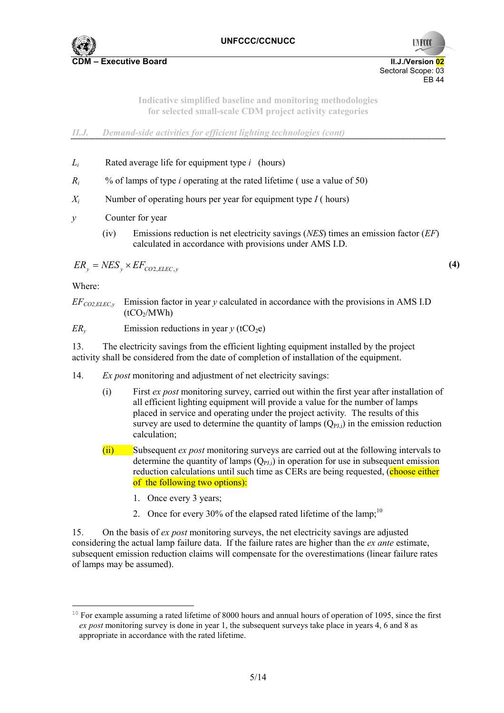

**UNFCCO** Sectoral Scope: 03  $FRA4$ 

**Indicative simplified baseline and monitoring methodologies for selected small-scale CDM project activity categories** 

*II.J. Demand-side activities for efficient lighting technologies (cont)* 

- *Li* Rated average life for equipment type *i* (hours)
- *Ri* % of lamps of type *i* operating at the rated lifetime ( use a value of 50)
- *X<sub>i</sub>* Number of operating hours per year for equipment type  $I$  (hours)
- *y* Counter for year
	- (iv) Emissions reduction is net electricity savings (*NES*) times an emission factor (*EF*) calculated in accordance with provisions under AMS I.D.

$$
ER_{y} = NES_{y} \times EF_{CO2, ELLC, y}
$$
\n<sup>(4)</sup>

Where:

ł

- $EF_{CO2EECy}$  Emission factor in year *y* calculated in accordance with the provisions in AMS I.D  $(tCO<sub>2</sub>/MWh)$
- *ER<sub>y</sub>* Emission reductions in year  $y$  (tCO<sub>2</sub>e)

13. The electricity savings from the efficient lighting equipment installed by the project activity shall be considered from the date of completion of installation of the equipment.

- 14. *Ex post* monitoring and adjustment of net electricity savings:
	- (i) First *ex post* monitoring survey, carried out within the first year after installation of all efficient lighting equipment will provide a value for the number of lamps placed in service and operating under the project activity*.* The results of this survey are used to determine the quantity of lamps  $(O_{PI})$  in the emission reduction calculation;
	- (ii) Subsequent *ex post* monitoring surveys are carried out at the following intervals to determine the quantity of lamps  $(Q_{PI})$  in operation for use in subsequent emission reduction calculations until such time as CERs are being requested, (choose either of the following two options):
		- 1. Once every 3 years;
		- 2. Once for every 30% of the elapsed rated lifetime of the lamp;<sup>10</sup>

15. On the basis of *ex post* monitoring surveys, the net electricity savings are adjusted considering the actual lamp failure data. If the failure rates are higher than the *ex ante* estimate, subsequent emission reduction claims will compensate for the overestimations (linear failure rates of lamps may be assumed).

<sup>&</sup>lt;sup>10</sup> For example assuming a rated lifetime of 8000 hours and annual hours of operation of 1095, since the first *ex post* monitoring survey is done in year 1, the subsequent surveys take place in years 4, 6 and 8 as appropriate in accordance with the rated lifetime.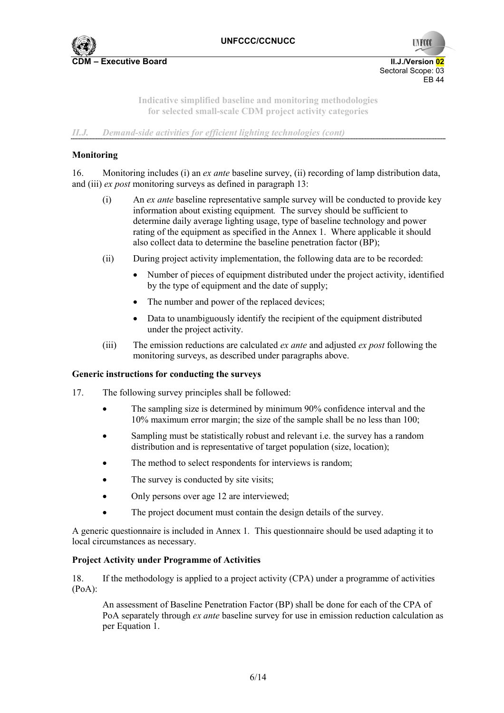

**UNFCCC** Sectoral Scope: 03  $FRA4$ 

**Indicative simplified baseline and monitoring methodologies for selected small-scale CDM project activity categories** 

*II.J. Demand-side activities for efficient lighting technologies (cont)* 

## **Monitoring**

16. Monitoring includes (i) an *ex ante* baseline survey, (ii) recording of lamp distribution data, and (iii) *ex post* monitoring surveys as defined in paragraph 13:

- (i) An *ex ante* baseline representative sample survey will be conducted to provide key information about existing equipment*.* The survey should be sufficient to determine daily average lighting usage, type of baseline technology and power rating of the equipment as specified in the Annex 1. Where applicable it should also collect data to determine the baseline penetration factor (BP);
- (ii) During project activity implementation, the following data are to be recorded:
	- Number of pieces of equipment distributed under the project activity, identified by the type of equipment and the date of supply;
	- The number and power of the replaced devices:
	- Data to unambiguously identify the recipient of the equipment distributed under the project activity.
- (iii) The emission reductions are calculated *ex ante* and adjusted *ex post* following the monitoring surveys, as described under paragraphs above.

## **Generic instructions for conducting the surveys**

- 17. The following survey principles shall be followed:
	- The sampling size is determined by minimum 90% confidence interval and the 10% maximum error margin; the size of the sample shall be no less than 100;
	- Sampling must be statistically robust and relevant i.e. the survey has a random distribution and is representative of target population (size, location);
	- The method to select respondents for interviews is random:
	- The survey is conducted by site visits;
	- Only persons over age 12 are interviewed;
	- The project document must contain the design details of the survey.

A generic questionnaire is included in Annex 1*.* This questionnaire should be used adapting it to local circumstances as necessary.

#### **Project Activity under Programme of Activities**

18. If the methodology is applied to a project activity (CPA) under a programme of activities (PoA):

An assessment of Baseline Penetration Factor (BP) shall be done for each of the CPA of PoA separately through *ex ante* baseline survey for use in emission reduction calculation as per Equation 1.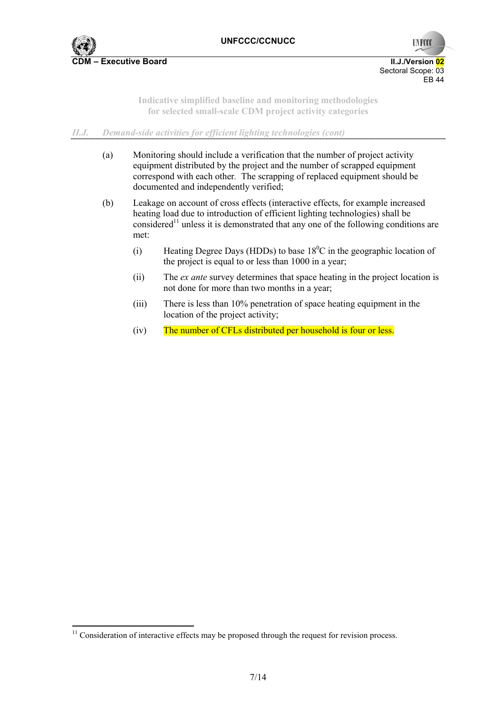

l

**UNFCO** Sectoral Scope: 03 .<br>FR 44

**Indicative simplified baseline and monitoring methodologies for selected small-scale CDM project activity categories** 

## *II.J. Demand-side activities for efficient lighting technologies (cont)*

- (a) Monitoring should include a verification that the number of project activity equipment distributed by the project and the number of scrapped equipment correspond with each other*.* The scrapping of replaced equipment should be documented and independently verified;
- (b) Leakage on account of cross effects (interactive effects, for example increased heating load due to introduction of efficient lighting technologies) shall be considered<sup>11</sup> unless it is demonstrated that any one of the following conditions are met:
	- (i) Heating Degree Days (HDDs) to base  $18^{\circ}$ C in the geographic location of the project is equal to or less than 1000 in a year;
	- (ii) The *ex ante* survey determines that space heating in the project location is not done for more than two months in a year;
	- (iii) There is less than 10% penetration of space heating equipment in the location of the project activity;
	- (iv) The number of CFLs distributed per household is four or less.

 $11$  Consideration of interactive effects may be proposed through the request for revision process.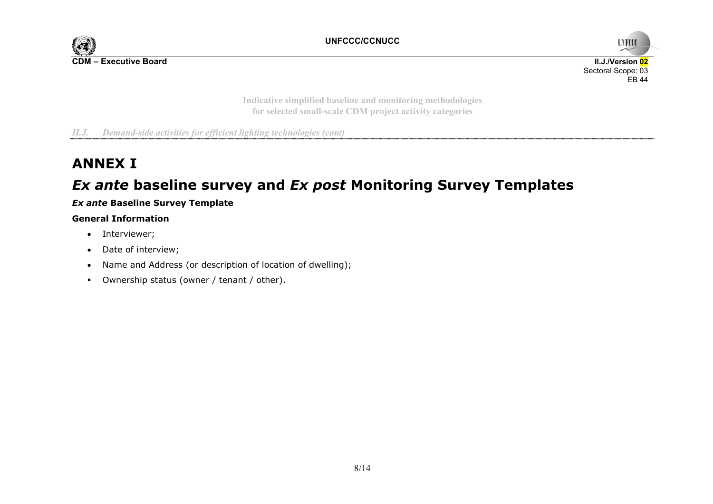



**Indicative simplified baseline and monitoring methodologies for selected small-scale CDM project activity categories** 

*II.J. Demand-side activities for efficient lighting technologies (cont)* 

# **ANNEX I**

# *Ex ante* **baseline survey and** *Ex post* **Monitoring Survey Templates**

## *Ex ante* **Baseline Survey Template**

## **General Information**

- Interviewer;
- Date of interview;
- Name and Address (or description of location of dwelling);
- Ownership status (owner / tenant / other).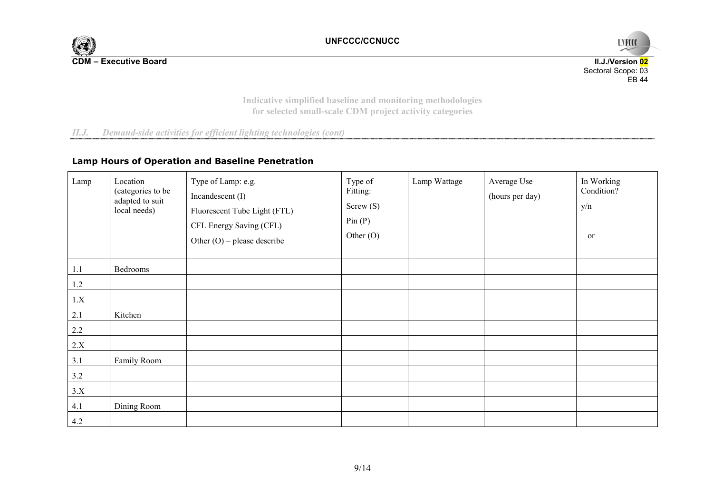



**Indicative simplified baseline and monitoring methodologies for selected small-scale CDM project activity categories** 

*II.J. Demand-side activities for efficient lighting technologies (cont)* 

## **Lamp Hours of Operation and Baseline Penetration**

| Lamp    | Location<br>(categories to be<br>adapted to suit<br>local needs) | Type of Lamp: e.g.<br>Incandescent (I)<br>Fluorescent Tube Light (FTL)<br>CFL Energy Saving (CFL)<br>Other $(O)$ – please describe | Type of<br>Fitting:<br>Screw(S)<br>Pin(P)<br>Other $(O)$ | Lamp Wattage | Average Use<br>(hours per day) | In Working<br>Condition?<br>y/n<br><sub>or</sub> |
|---------|------------------------------------------------------------------|------------------------------------------------------------------------------------------------------------------------------------|----------------------------------------------------------|--------------|--------------------------------|--------------------------------------------------|
| 1.1     | Bedrooms                                                         |                                                                                                                                    |                                                          |              |                                |                                                  |
| 1.2     |                                                                  |                                                                                                                                    |                                                          |              |                                |                                                  |
| 1.X     |                                                                  |                                                                                                                                    |                                                          |              |                                |                                                  |
| 2.1     | Kitchen                                                          |                                                                                                                                    |                                                          |              |                                |                                                  |
| $2.2\,$ |                                                                  |                                                                                                                                    |                                                          |              |                                |                                                  |
| 2.X     |                                                                  |                                                                                                                                    |                                                          |              |                                |                                                  |
| 3.1     | Family Room                                                      |                                                                                                                                    |                                                          |              |                                |                                                  |
| 3.2     |                                                                  |                                                                                                                                    |                                                          |              |                                |                                                  |
| 3.X     |                                                                  |                                                                                                                                    |                                                          |              |                                |                                                  |
| 4.1     | Dining Room                                                      |                                                                                                                                    |                                                          |              |                                |                                                  |
| 4.2     |                                                                  |                                                                                                                                    |                                                          |              |                                |                                                  |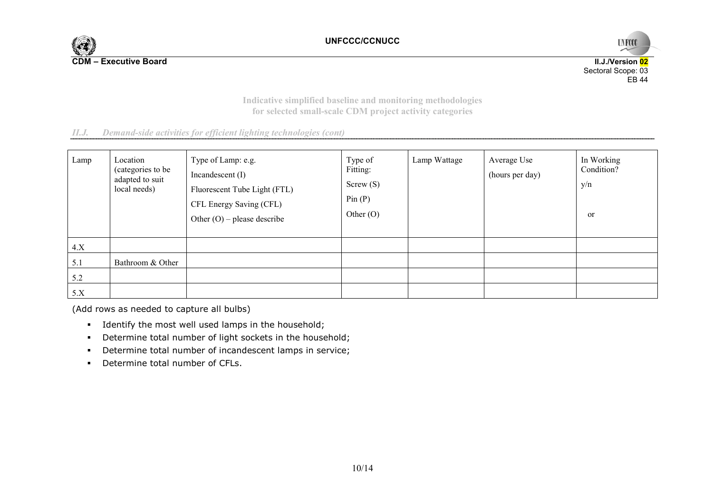

UNFCCC **II.J./Version 02**  Sectoral Scope: 03 EB 44

**Indicative simplified baseline and monitoring methodologies for selected small-scale CDM project activity categories** 

| II.J. | Demand-side activities for efficient lighting technologies (cont) |  |  |  |  |  |
|-------|-------------------------------------------------------------------|--|--|--|--|--|
|-------|-------------------------------------------------------------------|--|--|--|--|--|

| Lamp | Location<br>(categories to be<br>adapted to suit<br>local needs) | Type of Lamp: e.g.<br>Incandescent (I)<br>Fluorescent Tube Light (FTL)<br>CFL Energy Saving (CFL)<br>Other $(O)$ – please describe | Type of<br>Fitting:<br>Screw(S)<br>Pin(P)<br>Other $(O)$ | Lamp Wattage | Average Use<br>(hours per day) | In Working<br>Condition?<br>y/n<br><sub>or</sub> |
|------|------------------------------------------------------------------|------------------------------------------------------------------------------------------------------------------------------------|----------------------------------------------------------|--------------|--------------------------------|--------------------------------------------------|
| 4.X  |                                                                  |                                                                                                                                    |                                                          |              |                                |                                                  |
| 5.1  | Bathroom & Other                                                 |                                                                                                                                    |                                                          |              |                                |                                                  |
| 5.2  |                                                                  |                                                                                                                                    |                                                          |              |                                |                                                  |
| 5.X  |                                                                  |                                                                                                                                    |                                                          |              |                                |                                                  |

(Add rows as needed to capture all bulbs)

- Identify the most well used lamps in the household;
- Determine total number of light sockets in the household;
- Determine total number of incandescent lamps in service;
- **•** Determine total number of CFLs.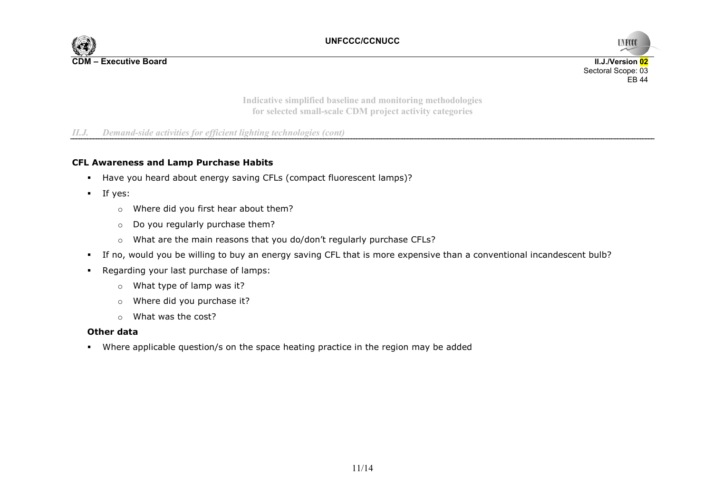



**Indicative simplified baseline and monitoring methodologies for selected small-scale CDM project activity categories** 

### *II.J. Demand-side activities for efficient lighting technologies (cont)*

#### **CFL Awareness and Lamp Purchase Habits**

- Have you heard about energy saving CFLs (compact fluorescent lamps)?
- $\blacksquare$  If yes:
	- <sup>o</sup>Where did you first hear about them?
	- $\circ$  Do you regularly purchase them?
	- <sup>o</sup>What are the main reasons that you do/don't regularly purchase CFLs?
- If no, would you be willing to buy an energy saving CFL that is more expensive than a conventional incandescent bulb?
- Regarding your last purchase of lamps:
	- <sup>o</sup>What type of lamp was it?
	- <sup>o</sup>Where did you purchase it?
	- o What was the cost?

#### **Other data**

Where applicable question/s on the space heating practice in the region may be added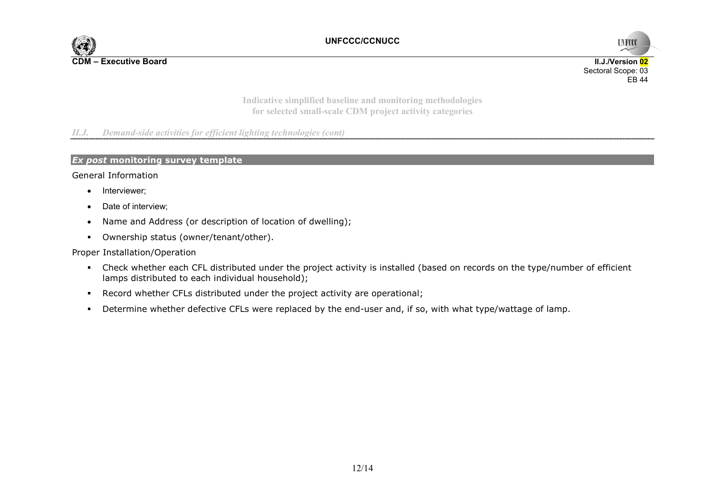



**Indicative simplified baseline and monitoring methodologies for selected small-scale CDM project activity categories** 

*II.J. Demand-side activities for efficient lighting technologies (cont)* 

#### *Ex post* **monitoring survey template**

#### General Information

- Interviewer;
- Date of interview;
- Name and Address (or description of location of dwelling);
- Ownership status (owner/tenant/other).

#### Proper Installation/Operation

- Check whether each CFL distributed under the project activity is installed (based on records on the type/number of efficient lamps distributed to each individual household);
- Record whether CFLs distributed under the project activity are operational;
- Determine whether defective CFLs were replaced by the end-user and, if so, with what type/wattage of lamp.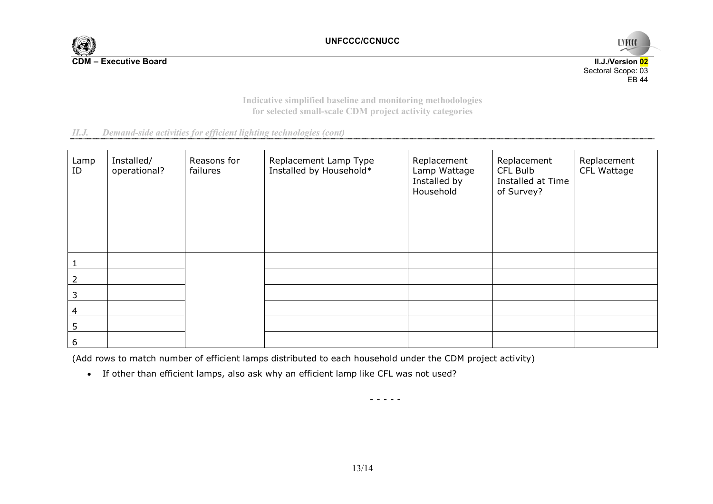



**Indicative simplified baseline and monitoring methodologies for selected small-scale CDM project activity categories** 

*II.J. Demand-side activities for efficient lighting technologies (cont)* 

| Lamp<br>ID | Installed/<br>operational? | Reasons for<br>failures | Replacement Lamp Type<br>Installed by Household* | Replacement<br>Lamp Wattage<br>Installed by<br>Household | Replacement<br>CFL Bulb<br>Installed at Time<br>of Survey? | Replacement<br>CFL Wattage |
|------------|----------------------------|-------------------------|--------------------------------------------------|----------------------------------------------------------|------------------------------------------------------------|----------------------------|
|            |                            |                         |                                                  |                                                          |                                                            |                            |
|            |                            |                         |                                                  |                                                          |                                                            |                            |
| 3          |                            |                         |                                                  |                                                          |                                                            |                            |
| 4          |                            |                         |                                                  |                                                          |                                                            |                            |
| 5          |                            |                         |                                                  |                                                          |                                                            |                            |
| 6          |                            |                         |                                                  |                                                          |                                                            |                            |

(Add rows to match number of efficient lamps distributed to each household under the CDM project activity)

• If other than efficient lamps, also ask why an efficient lamp like CFL was not used?

- - - - -